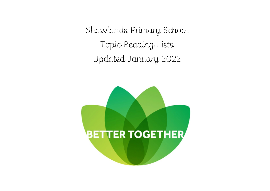Shawlands Primary School Topic Reading Lists Updated January 2022

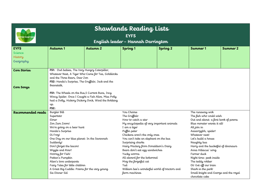| <b>Shawlands Reading Lists</b><br><b>EYFS</b><br><b>ETTER TOGETHER</b><br>English leader - Hannah Darrington |                                                                                                          |          |                                |                                               |                                           |                                      |  |  |  |
|--------------------------------------------------------------------------------------------------------------|----------------------------------------------------------------------------------------------------------|----------|--------------------------------|-----------------------------------------------|-------------------------------------------|--------------------------------------|--|--|--|
| <b>EYFS</b>                                                                                                  | Autumn 1                                                                                                 | Autumn 2 | Spring <sub>1</sub>            | Spring <sub>2</sub>                           | Summer 1                                  | Summer 2                             |  |  |  |
| Science                                                                                                      |                                                                                                          |          |                                |                                               |                                           |                                      |  |  |  |
| History<br>Geography                                                                                         |                                                                                                          |          |                                |                                               |                                           |                                      |  |  |  |
|                                                                                                              |                                                                                                          |          |                                |                                               |                                           |                                      |  |  |  |
| <b>Core Stories</b>                                                                                          | FS1: Owl babies, The Very Hungry Caterpillar,                                                            |          |                                |                                               |                                           |                                      |  |  |  |
|                                                                                                              | Whatever Next, A Tiger Who Came for Tea, Goldilocks                                                      |          |                                |                                               |                                           |                                      |  |  |  |
|                                                                                                              | and the Three Bears, Dear Zoo.                                                                           |          |                                |                                               |                                           |                                      |  |  |  |
|                                                                                                              | FS2: Handa's Surprise, The Gruffalo, Jack and the                                                        |          |                                |                                               |                                           |                                      |  |  |  |
| Core Songs                                                                                                   | Beanstalk,                                                                                               |          |                                |                                               |                                           |                                      |  |  |  |
|                                                                                                              |                                                                                                          |          |                                |                                               |                                           |                                      |  |  |  |
|                                                                                                              | FS1: The Wheels on the Bus, 5 Current Buns, Incy<br>Wincy Spider, Once I Caught a Fish Alive, Miss Polly |          |                                |                                               |                                           |                                      |  |  |  |
|                                                                                                              | had a Dolly, Hickory Dickory Dock, Wind the Bobbing                                                      |          |                                |                                               |                                           |                                      |  |  |  |
|                                                                                                              | up.                                                                                                      |          |                                |                                               |                                           |                                      |  |  |  |
|                                                                                                              | <b>FS2:</b>                                                                                              |          |                                |                                               |                                           |                                      |  |  |  |
| Recommended reads                                                                                            | Burglar Bill                                                                                             |          | You Choose                     |                                               | The runaway wok                           |                                      |  |  |  |
|                                                                                                              | Supertato                                                                                                |          | The Gruffalo                   |                                               |                                           | The fish who could wish              |  |  |  |
|                                                                                                              | Elmer                                                                                                    |          |                                | How to catch a star                           |                                           | Out and about: a first book of poems |  |  |  |
|                                                                                                              | Zim Zam Zoom!                                                                                            |          |                                | My encyclopedia of very important animals     | Blue monster wants it all!                |                                      |  |  |  |
|                                                                                                              | We're going on a bear hunt<br>Handa's Surprise                                                           |          | I am a tiger<br>Puffin peter   |                                               | All join in<br>Aaaarrgghh, spider!        |                                      |  |  |  |
|                                                                                                              | Oi Frog!                                                                                                 |          | Chickens aren't the only ones  |                                               | Whatever next!                            |                                      |  |  |  |
|                                                                                                              | One Day on our blue planet: In the Savannah                                                              |          |                                | You can't take an elephant on the bus         | Let's build a house                       |                                      |  |  |  |
|                                                                                                              | Suddenly!                                                                                                |          | Surprising sharks              |                                               | Naughty bus                               |                                      |  |  |  |
|                                                                                                              | Don't forget the bacon!                                                                                  |          |                                | Hairy Maclary from Donaldson's Dairy          | Harry and the bucketful of dinosaurs      |                                      |  |  |  |
|                                                                                                              | Wiggle and Roar!                                                                                         |          | Bears don't eat egg sandwiches |                                               | Anna Hibiscus' song                       |                                      |  |  |  |
|                                                                                                              | Hooray for Fish!                                                                                         |          | Yucky worms                    |                                               | Farmer duck                               |                                      |  |  |  |
|                                                                                                              | Pattan's Pumpkin                                                                                         |          | All aboard for the boboroad    |                                               | Night time: peek inside                   |                                      |  |  |  |
|                                                                                                              | Alien's love underpants<br>Fairy Tales for little children                                               |          | Mog the forgetful cat<br>Tad   |                                               | The teddy robber<br>Oi! Get off our train |                                      |  |  |  |
|                                                                                                              | A Great Big Cuddle: Poems for the very young                                                             |          |                                | William bee's wonderful world of tractors and | Shark in the park!                        |                                      |  |  |  |
|                                                                                                              | Six Dinner Sid                                                                                           |          | farm machines                  |                                               | Small knight and George and the royal     |                                      |  |  |  |
|                                                                                                              |                                                                                                          |          |                                |                                               | chocolate cake                            |                                      |  |  |  |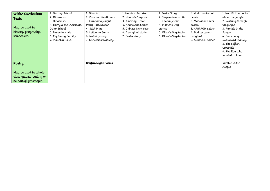| Wider-Curriculum<br>Texts<br>May be used in<br>history, geography,                 | 1. Starting School<br>2. Dinosaurs<br>3. Dinosaurs<br>4. Harry & the Dinosaurs<br>Go to School<br>5. Marvellous Me | 1. Diwali<br>2. Room on the Broom<br>3. One snowy night,<br>Percy Park Keeper<br>4. Stick Man<br>5. Letters to Santa | 1. Handa's Surprise<br>2. Handa's Surprise<br>3. Amazing Grace<br>4. Anansi the Spider<br>5. Chinese New Year<br>6. Aboriginal stories | 1. Easter Story<br>2. Jaspers beanstalk<br>3. The tiny seed<br>4. Mother's Day<br>stories<br>5. Oliver's Vegetables | 1. Mad about mini<br><b>beasts</b><br>2. Mad about mini<br>beasts<br>3. ARRRRGH spider<br>4. Bad tempered | 1. Non Fiction books<br>about the jungle<br>2. Walking through<br>the jungle<br>3. Rumble in the<br>Jungle |
|------------------------------------------------------------------------------------|--------------------------------------------------------------------------------------------------------------------|----------------------------------------------------------------------------------------------------------------------|----------------------------------------------------------------------------------------------------------------------------------------|---------------------------------------------------------------------------------------------------------------------|-----------------------------------------------------------------------------------------------------------|------------------------------------------------------------------------------------------------------------|
| science etc.                                                                       | 6. My Funny Family<br>7. Pumpkin Soup                                                                              | 6. Nativity story<br>7. Christmas/Nativity                                                                           | 7. Easter story                                                                                                                        | 6. Oliver's Vegetables                                                                                              | Ladybird<br>5. ARRRRGH spider                                                                             | 4. Somebody<br>swallowed Stanley<br>5. The Selfish<br>Crocodile<br>6. The lion who<br>wanted to love       |
| Poetry<br>May be used in whole<br>class guided reading or<br>be part of your topic |                                                                                                                    | Bonfire Night Poems                                                                                                  |                                                                                                                                        |                                                                                                                     |                                                                                                           | Rumble in the<br>Jungle                                                                                    |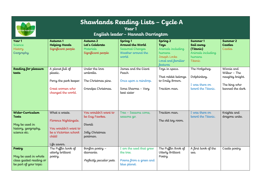| <b>TTER TOGETHER</b>                                                               | Shawlands Reading Lists - Cycle A<br>Year 1<br>English leader - Hannah Darrington                                 |                                                                                 |                                                                                            |                                                                                                                            |                                                                              |                                                                                   |  |
|------------------------------------------------------------------------------------|-------------------------------------------------------------------------------------------------------------------|---------------------------------------------------------------------------------|--------------------------------------------------------------------------------------------|----------------------------------------------------------------------------------------------------------------------------|------------------------------------------------------------------------------|-----------------------------------------------------------------------------------|--|
| Year 1<br>Science<br>History<br>Geography                                          | Autumn 1<br><b>Helping Hands</b><br>Significant people                                                            | Autumn 2<br>Let's Celebrate<br>Materials<br>Significant people                  | Spring 1<br>Around the World<br>Seasonal Changes<br>Weather around the<br>world            | Spring <sub>2</sub><br><b>Toys</b><br>Animals including<br>humans<br>Joseph Locke<br>Local and familiar<br><b>leatures</b> | Summer 1<br>Sail away<br>(Titanic)<br>Animals including<br>humans<br>Titanic | Summer 2<br><b>Castles</b><br>Castles                                             |  |
| Reading for pleasure<br>texts                                                      | A planet full of<br>plastic.<br>Percy the park keeper.<br>Great women who<br>changed the world.                   | Under the love<br>umbrella.<br>The Christmas pine.<br>Grandpa Christmas.        | James and the Giant<br>Peach<br>Once upon a raindrop.<br>Sona Sharma - Very<br>best sister | Toys in space.<br>That rabbit belongs<br>to Emily Brown.<br>Traction man.                                                  | The Hodgeheg.<br>Dolphinboy.<br>I was there on<br>board the Titanic.         | Winnie and<br>Wilbur - The<br>naughty knight.<br>The king who<br>banned the dark. |  |
| Wider-Curriculum<br>Texts<br>May be used in<br>history, geography,<br>science etc. | What a waste.<br>Florence Nightingale.<br>You wouldn't want to<br>be a Victorian school<br>child!<br>Life savers. | You wouldn't want to<br>be Guy Fawkes.<br>Diwali<br>Jolly Christmas<br>postman. | Tree - Seasons come,<br>seasons go.                                                        | Traction man.<br>The old toy room.                                                                                         | I was there on<br>board the Titanic.                                         | Knights and<br>dragons unite.                                                     |  |
| Poetry<br>May be used in whole<br>class guided reading or<br>be part of your topic | The Puffin book of<br>utterly brilliant<br>poetry.                                                                | Bonfire poetry -<br>diamante.<br>Perfectly peculiar pets.                       | I am the seed that grew<br>the tree.<br>Poems from a green and<br>blue planet.             | The Puffin Book of<br>Utterly Brilliant<br>Poetry                                                                          | A first book of the<br>sea.                                                  | Castle poetry                                                                     |  |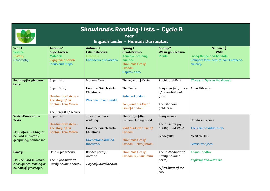| Shawlands Reading Lists - Cycle B<br>Year 1<br><b>SETTER TOGETHEI</b><br>English leader - Hannah Darrington |                                                                                                                         |                                                                                                        |                                                                                                                             |                                                                                                          |                                                                                                              |  |
|-------------------------------------------------------------------------------------------------------------|-------------------------------------------------------------------------------------------------------------------------|--------------------------------------------------------------------------------------------------------|-----------------------------------------------------------------------------------------------------------------------------|----------------------------------------------------------------------------------------------------------|--------------------------------------------------------------------------------------------------------------|--|
| Year 1<br>Science<br>History<br>Geography                                                                   | Autumn 1<br><b>Superheroes</b><br>Materials<br>Significant person<br>Plans and maps                                     | Autumn 2<br>Let's Celebrate<br>Materials<br>Continents and oceans                                      | Spring <sub>1</sub><br><b>Great Britain</b><br>Animals including<br>humans<br>The Great Fire of<br>London<br>Capital cities | Spring <sub>2</sub><br>When you believe<br>Plants                                                        | Summer $\frac{1}{2}$<br>Wild<br>Living things and habitats<br>Compare local area to non-European<br>country. |  |
| Reading for pleasure<br>texts                                                                               | Supertato.<br>Super Daisy.<br>One hundred steps -<br>The story of Sir<br>Captain Tom Moore.<br>The hat full of secrets. | Isadora Moon<br>How the Grinch stole<br>Christmas.<br>Welcome to our world.                            | The legend of Kevin<br>The Twits<br>Katie in London<br>Toby and the Great<br>Fire of London                                 | Rabbit and Bear.<br>Forgotten fairy tales<br>of brave brilliant<br>girls.<br>The Ghanaian<br>goldilocks. | There's a Tiger in the Garden<br>Anna Hibiscus                                                               |  |
| Wider-Curriculum<br><b>Texts</b><br>May inform writing or<br>be used in history,<br>geography, science etc. | Supertato.<br>One hundred steps -<br>The story of Sir<br>Captain Tom Moore.                                             | The scarecrow's<br>wedding.<br>How the Grinch stole<br>Christmas.<br>Celebrations around<br>the world. | The story of the<br>London Underground.<br>Vlad the Great Fire of<br>London<br>The Great Fire of<br>London - Non-fiction    | Fairy stories.<br>The true story of<br>the Big, Bad Wolf.<br>Cinderfella.                                | Handa's surprise<br>The Akimbo Adventures<br>Meerkat Mail<br>Letters to Africa                               |  |
| Poetry<br>May be used in whole<br>class guided reading or<br>be part of your topic.                         | Hairy Spider Stew.<br>The Puffin book of<br>utterly brilliant poetry.                                                   | Bonfire poetry -<br>Acrostic<br>Perfectly peculiar pets.                                               | The Great Fire of<br>London By Paul Perro                                                                                   | The Puffin book of<br>utterly brilliant<br>poetry.<br>A first book of the<br>sea.                        | Animal riddles<br>Perfectly Peculiar Pets                                                                    |  |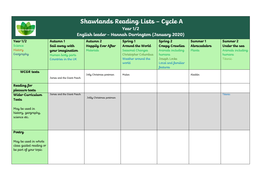| <b>ETTER TOGETHER</b>                                                                                                      | Shawlands Reading Lists - Cycle A<br>Year 1/2<br>English leader - Hannah Darrington (January 2020) |                                             |                                                                                                                    |                                                                                                                                       |                                   |                                                                     |  |
|----------------------------------------------------------------------------------------------------------------------------|----------------------------------------------------------------------------------------------------|---------------------------------------------|--------------------------------------------------------------------------------------------------------------------|---------------------------------------------------------------------------------------------------------------------------------------|-----------------------------------|---------------------------------------------------------------------|--|
| Year $1/2$<br><b>Science</b><br>History<br>Geography                                                                       | Autumn 1<br>Sail away with<br>your imagination<br>Human body parts<br>Countries in the UK          | Autumn 2<br>Happily Ever After<br>Materials | Spring <sub>1</sub><br>Around the World<br>Seasonal Changes<br>Christopher Columbus<br>Weather around the<br>world | Spring <sub>2</sub><br><b>Creepy Crawlies</b><br>Animals including<br>humans<br>Joseph Locke<br>Local and familiar<br><b>features</b> | Summer 1<br>Abracadabra<br>Plants | Summer 2<br>Under the sea<br>Animals including<br>humans<br>Titanic |  |
| <b>WCGR</b> texts                                                                                                          | James and the Giant Peach                                                                          | Jolly Christmas postman                     | Mulan                                                                                                              |                                                                                                                                       | Aladdin                           |                                                                     |  |
| Reading for<br>pleasure texts<br>Wider-Curriculum<br><b>Texts</b><br>May be used in<br>history, geography,<br>science etc. | James and the Giant Peach                                                                          | Jollly Christmas postman                    |                                                                                                                    |                                                                                                                                       |                                   | Titanic                                                             |  |
| Poetry<br>May be used in whole<br>class guided reading or<br>be part of your topic                                         |                                                                                                    |                                             |                                                                                                                    |                                                                                                                                       |                                   |                                                                     |  |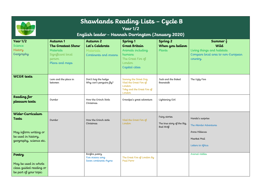| <b>ETTER TOGETHER</b>                                                                                       | Shawlands Reading Lists - Cycle B<br>Year $1/2$<br>English leader - Hannah Darrington (January 2020) |                                                                   |                                                                                                                             |                                                         |                                                                                                              |  |  |  |
|-------------------------------------------------------------------------------------------------------------|------------------------------------------------------------------------------------------------------|-------------------------------------------------------------------|-----------------------------------------------------------------------------------------------------------------------------|---------------------------------------------------------|--------------------------------------------------------------------------------------------------------------|--|--|--|
| Year $1/2$<br>Science<br>History<br>Geography                                                               | Autumn 1<br><b>The Greatest Show</b><br>Materials<br>Significant local<br>person<br>Plans and maps   | Autumn 2<br>Let's Celebrate<br>Materials<br>Continents and oceans | Spring <sub>1</sub><br><b>Great Britain</b><br>Animals including<br>humans<br>The Great Fire of<br>London<br>Capital cities | Spring <sub>2</sub><br>When you believe<br>Plants       | Summer $\frac{1}{2}$<br>Wild<br>Living things and habitats<br>Compare local area to non-European<br>country. |  |  |  |
| <b>WCGR</b> texts                                                                                           | Leon and the place in<br>between                                                                     | Don't hog the hedge<br>Why can't penguins fly?                    | Sammy the Street Dog<br>Vlad the Great Fire of<br>London<br>Toby and the Great Fire of<br>London                            | Jack and the Baked<br>Beanstalk                         | The Ugly Five                                                                                                |  |  |  |
| Reading for<br>pleasure texts                                                                               | Dumbo                                                                                                | How the Grinch Stole<br>Christmas                                 | Grandpa's great adventure                                                                                                   | Lightening Girl                                         |                                                                                                              |  |  |  |
| Wider-Curriculum<br><b>Texts</b><br>May inform writing or<br>be used in history,<br>geography, science etc. | Dumbo                                                                                                | How the Grinch stole<br>Christmas                                 | Vlad the Great Fire of<br>$L$ ondon                                                                                         | Fairy stories<br>The true story of the Big,<br>Bad Wolf | Handa's surprise<br>The Akimbo Adventures<br>Anna Hibiscus<br>Meerkat Mail<br>Letters to Africa              |  |  |  |
| Poetry<br>May be used in whole<br>class guided reading or<br>be part of your topic                          |                                                                                                      | Bonfire poetry<br>Five oceans song<br>Seven continents rhyme      | The Great Fire of London By<br>Paul Perro                                                                                   |                                                         | Animal riddles                                                                                               |  |  |  |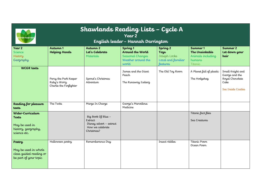| <b>ETTER TOGETHE</b>                                                               | Shawlands Reading Lists - Cycle A<br>Year 2<br>English leader - Hannah Darrington |                                                                                            |                                                                                 |                                                                                      |                                                                      |                                                                                     |  |
|------------------------------------------------------------------------------------|-----------------------------------------------------------------------------------|--------------------------------------------------------------------------------------------|---------------------------------------------------------------------------------|--------------------------------------------------------------------------------------|----------------------------------------------------------------------|-------------------------------------------------------------------------------------|--|
| Year 2<br><b>Science</b><br>History<br>Geography                                   | Autumn 1<br><b>Helping Hands</b>                                                  | Autumn 2<br>Let's Celebrate<br>Materials                                                   | Spring 1<br>Around the World<br>Seasonal Changes<br>Weather around the<br>world | Spring <sub>2</sub><br>Toys<br>Joseph Locke<br>Local and familiar<br><b>Leatures</b> | Summer 1<br>The Unsinkable<br>Animals including<br>humans<br>Titanic | Summer 2<br>Let down your<br>hair                                                   |  |
| <b>WCGR</b> texts                                                                  | Percy the Park Keeper<br>Ruby's Worry<br>Charlie the Firefighter                  | Sprout's Christmas<br>Adventure                                                            | James and the Giant<br>Peach<br>The Runaway Iceberg                             | The Old Toy Room                                                                     | A Planet full of plastic<br>The Hodgeheg                             | Small Knight and<br>George and the<br>Royal Chocolate<br>Cake<br>See Inside Castles |  |
| Reading for pleasure<br>texts                                                      | The Twits                                                                         | Marge In Charge                                                                            | George's Marvellous<br>Medicine                                                 |                                                                                      |                                                                      |                                                                                     |  |
| Wider-Curriculum<br>Texts<br>May be used in<br>history, geography,<br>science etc. |                                                                                   | Big Book Of Blue -<br>Extract<br>Disney advert - extract<br>How we celebrate<br>Christmas? |                                                                                 |                                                                                      | Titanic fact files<br>Sea Creatures                                  |                                                                                     |  |
| Poetry<br>May be used in whole<br>class guided reading or<br>be part of your topic | Halloween poetry                                                                  | Rememberance Day                                                                           |                                                                                 | Insect riddles                                                                       | Titanic Poem<br>Ocean Poem                                           |                                                                                     |  |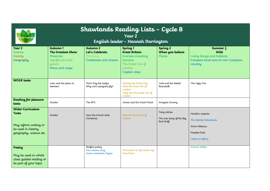| Shawlands Reading Lists - Cycle B<br>Year 2<br><b>TTER TOGETHER</b><br>English leader - Hannah Darrington   |                                                                                                    |                                                                              |                                                                                                                             |                                                         |                                                                                                              |  |  |
|-------------------------------------------------------------------------------------------------------------|----------------------------------------------------------------------------------------------------|------------------------------------------------------------------------------|-----------------------------------------------------------------------------------------------------------------------------|---------------------------------------------------------|--------------------------------------------------------------------------------------------------------------|--|--|
| Year 2<br>Science<br>History<br>Geography                                                                   | Autumn 1<br><b>The Greatest Show</b><br>Materials<br>Significant local<br>person<br>Plans and maps | Autumn <sub>2</sub><br>Let's Celebrate<br>Materials<br>Continents and oceans | Spring <sub>1</sub><br><b>Great Britain</b><br>Animals including<br>humans<br>The Great Fire of<br>London<br>Capital cities | Spring <sub>2</sub><br>When you believe<br>Plants       | Summer $\frac{1}{2}$<br>Wild<br>Living things and habitats<br>Compare local area to non-European<br>country. |  |  |
| <b>WCGR</b> texts                                                                                           | Leon and the place in<br>between                                                                   | Don't hog the hedge<br>Why can't penguins $\mu$ .                            | Sammy the Street Dog<br>Vlad the Great Fire of<br>London<br>Toby and the Great Fire of<br>London                            | Jack and the Baked<br>Beanstalk                         | The Ugly Five                                                                                                |  |  |
| Reading for pleasure<br>texts                                                                               | Dumbo                                                                                              | The BFG                                                                      | James and the Giant Peach                                                                                                   | Gangsta Granny                                          |                                                                                                              |  |  |
| Wider-Curriculum<br><b>Texts</b><br>May inform writing or<br>be used in history,<br>geography, science etc. | Dumbo                                                                                              | How the Grinch stole<br>Christmas                                            | Vlad the Great Fire of<br>London                                                                                            | Fairy stories<br>The true story of the Big,<br>Bad Wolf | Handa's surprise<br>The Akimbo Adventures<br>Anna Hibiscus<br>Meerkat Mail<br>Letters to Africa              |  |  |
| Poetry<br>May be used in whole<br>class guided reading or<br>be part of your topic                          |                                                                                                    | Bonfire poetry<br>Five oceans song<br>Seven continents rhyme                 | The Great Fire of London By<br>Paul Perro                                                                                   |                                                         | Animal riddles                                                                                               |  |  |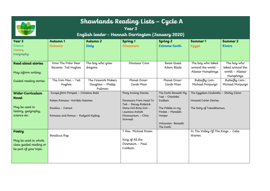| <b>ETTER TOGETHER</b>                 | Shawlands Reading Lists - Cycle A<br>Year <sub>3</sub><br>English leader - Hannah Darrington (January 2020) |                                           |                                                      |                                             |                                         |                                     |  |
|---------------------------------------|-------------------------------------------------------------------------------------------------------------|-------------------------------------------|------------------------------------------------------|---------------------------------------------|-----------------------------------------|-------------------------------------|--|
| Year 3<br><b>Science</b>              | Autumn 1<br><b>Romans</b>                                                                                   | Autumn 2<br>Italy                         | Spring <sub>1</sub><br><b>Dinosaurs</b>              | Spring <sub>2</sub><br><b>Extreme Earth</b> | Summer 1<br><b>Egypt</b>                | Summer 2<br><b>Rivers</b>           |  |
| History<br>Geography                  |                                                                                                             |                                           |                                                      |                                             |                                         |                                     |  |
| Read aloud stories                    | How The Polar Bear<br>Became-Ted Hughes                                                                     | The boy who grew<br>dragons               | Dinosaur Cove                                        | <b>Beast Quest</b><br>Adam Blade            | The boy who biked<br>around the world - | The boy who<br>biked around the     |  |
| May inform writing                    |                                                                                                             |                                           |                                                      |                                             | Alistair Humphreys                      | world - Alistair<br>Humphreys       |  |
| Guided reading stories                | The Iron Man - Ted<br>Hughes                                                                                | The Firework Makers<br>Daughter - Phillip | Planet Omar-<br>Zanib Mian                           | Planet Omar-<br>Zanib Mian                  | Butterfly Lion-<br>Michael Morpurgo     | Butterfly Lion-<br>Michael Morpurgo |  |
|                                       |                                                                                                             | Pullman                                   |                                                      |                                             |                                         |                                     |  |
| Wider-Curriculum                      | Escape from Pompeii - Christina Balit                                                                       |                                           | Mary Anning Diaries                                  | The Earth Beneath My<br>Feet - Charlotte    | The Egyptian Cinderella - Shirley Climo |                                     |  |
| <b>Novel</b>                          | Rotten Romans - Horrible Histories                                                                          |                                           | Dinosaurs From Head To<br>Tail - Stacey Roderick     | Guillain                                    | Howard Carter Diaries                   |                                     |  |
| May be used in<br>history, geography, | Boudica - Extract                                                                                           |                                           | Stone Girl Bone Girl -                               | The Pebble in my                            | The Story of Tutankhamun.               |                                     |  |
| science etc.                          | Romulus and Remus - Rudyard Kipling                                                                         |                                           | Laurence Anholt<br>$D$ inosaurium – Chris<br>Wormell | Pocket - Meredith<br>Hooper                 |                                         |                                     |  |
|                                       |                                                                                                             |                                           |                                                      | Volcanoes-Beneath<br>The Earth              |                                         |                                     |  |
| Poetry                                |                                                                                                             |                                           | T Rex-Michael Rosen                                  |                                             | In The Valley Of The Kings - Celia      |                                     |  |
|                                       |                                                                                                             |                                           |                                                      |                                             |                                         |                                     |  |
| class guided reading or               |                                                                                                             |                                           | Dinosaurs - Paul                                     |                                             |                                         |                                     |  |
| be part of your topic                 |                                                                                                             |                                           | Cookson                                              |                                             |                                         |                                     |  |
| May be used in whole                  | Boudicca Rap                                                                                                |                                           | King of All the                                      |                                             | Warren                                  |                                     |  |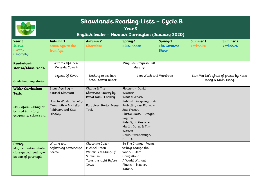| Shawlands Reading Lists - Cycle B<br>Year 3<br><b>ETTER TOGETHER</b><br>English leader - Hannah Darrington (January 2020) |                                                                                                                   |                                                                                                             |                                                                                                                                                                                                                                               |                                                           |                                                               |                       |  |
|---------------------------------------------------------------------------------------------------------------------------|-------------------------------------------------------------------------------------------------------------------|-------------------------------------------------------------------------------------------------------------|-----------------------------------------------------------------------------------------------------------------------------------------------------------------------------------------------------------------------------------------------|-----------------------------------------------------------|---------------------------------------------------------------|-----------------------|--|
| Year 3<br><b>Science</b><br>History<br>Geography                                                                          | Autumn 1<br>Stone Age to the<br><b>Iron Age</b>                                                                   | Autumn 2<br>Chocolate                                                                                       | Spring <sub>1</sub><br><b>Blue Planet</b>                                                                                                                                                                                                     | Spring <sub>2</sub><br><b>The Greatest</b><br><b>Show</b> | Summer 1<br>Yorkshire                                         | Summer 2<br>Yorkshire |  |
| Read aloud<br>stories/Class reads                                                                                         | Wizards Of Once-<br>Cressida Cowell                                                                               |                                                                                                             | Penguins Progress- Jill<br>Murphy                                                                                                                                                                                                             |                                                           |                                                               |                       |  |
| Guided reading stories                                                                                                    | Legend Of Kevin                                                                                                   | Nothing to see here<br>hotel-Steven Butler                                                                  | Lion Witch and Wardrobe                                                                                                                                                                                                                       |                                                           | Sam Wu isn't afraid of ghosts by Katie<br>Tsang & Kevin Tsang |                       |  |
| Wider-Curriculum<br><b>Texts</b><br>May inform writing or<br>be used in history,<br>geography, science etc.               | Stone Age Boy -<br>Satoshi Kitamura<br>How to Wash a Woolly<br>Mammoth - Michelle<br>Robinson and Kate<br>Hindley | Charlie & The<br>Chocolate Factory by<br>Roald Dahl-Literacy<br>Parables-Stories Jesus<br>Told.             | Flotsam - David<br>Wiesner<br>What a Waste:<br>Rubbish, Recycling and<br>Protecting our Planet -<br>Jess French<br>Plastic Sucks - Dougie<br>Poynter<br>Kids Fight Plastic -<br>Martin Dorey & Tim<br>Wesson<br>David Attenborough<br>Extract |                                                           |                                                               |                       |  |
| Poetry<br>May be used in whole<br>class guided reading or<br>be part of your topic                                        | Writing and<br>performing Stonehenge<br>poems                                                                     | Chocolate Cake<br>Michael Rosen<br>Winter Is the King Of<br>Showmen<br>Twas the night Before<br><b>Xmas</b> | Be The Change: Poems<br>to help change the<br>world - Matt<br>Goodfellow<br>A World Without<br>Plastic - Stephen<br>Katona                                                                                                                    |                                                           |                                                               |                       |  |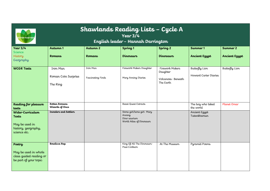| <b>BETTER TOGETHER</b>                                                                    | Shawlands Reading Lists - Cycle A<br>Year $3/4$<br>English leader - Hannah Darrington |                               |                                                                                  |                                                               |                                         |                      |  |
|-------------------------------------------------------------------------------------------|---------------------------------------------------------------------------------------|-------------------------------|----------------------------------------------------------------------------------|---------------------------------------------------------------|-----------------------------------------|----------------------|--|
| Year $3/4$<br><b>Science</b>                                                              | Autumn 1                                                                              | Autumn 2                      | Spring <sub>1</sub>                                                              | Spring <sub>2</sub>                                           | Summer 1                                | Summer 2             |  |
| History<br>Geography                                                                      | <b>Romans</b>                                                                         | <b>Romans</b>                 | Dinosaurs                                                                        | Dinosaurs                                                     | <b>Ancient Egypt</b>                    | <b>Ancient Egypt</b> |  |
| <b>WCGR Texts</b>                                                                         | Iron Man<br>Roman Coin Surprise<br>The Ring                                           | Iron Man<br>Fascinating Finds | Firework Makers Daughter<br>Mary Anning Diaries                                  | Firework Makers<br>Daughter<br>Volcanoes-Beneath<br>The Farth | Butterfly Lion<br>Howard Carter Diaries | Butterfly Lion       |  |
| Reading for pleasure<br>texts                                                             | Rotten Romans<br>Wizards of Once                                                      |                               | <b>Beast Quest Extracts</b>                                                      |                                                               | The boy who biked<br>the world          | Planet Omar          |  |
| Wider-Curriculum<br><b>Texts</b><br>May be used in<br>history, geography,<br>science etc. | <b>Invaders and Settlers</b>                                                          |                               | Stone girl/bone girl- Mary<br>Anning<br>Dino saurium<br>World Atlas of Dinosaurs |                                                               | Ancient Egypt<br>Tutankhamun            |                      |  |
| Poetry<br>May be used in whole<br>class guided reading or<br>be part of your topic        | <b>Boudicca Rap</b>                                                                   |                               | King Of All The Dinosaurs-<br>Paul Cookson                                       | At The Museum                                                 | Pyramid Poems                           |                      |  |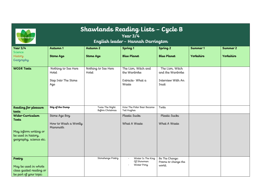| <b>Shawlands Reading Lists - Cycle B</b><br>Year $3/4$<br><b>TTER TOGETHER</b><br>English leader - Hannah Darrington |                                                            |                                    |                                                                 |                                                                   |                       |                       |  |
|----------------------------------------------------------------------------------------------------------------------|------------------------------------------------------------|------------------------------------|-----------------------------------------------------------------|-------------------------------------------------------------------|-----------------------|-----------------------|--|
| Year $3/4$<br>Science<br>History<br>Geography                                                                        | Autumn 1<br><b>Stone Age</b>                               | Autumn 2<br><b>Stone Age</b>       | Spring <sub>1</sub><br><b>Blue Planet</b>                       | Spring <sub>2</sub><br><b>Blue Planet</b>                         | Summer 1<br>Yorkshire | Summer 2<br>Yorkshire |  |
| <b>WCGR Texts</b>                                                                                                    | Nothing to See Here<br>Hotel<br>Step Into The Stone<br>Age | Nothing to See Here<br>Hotel       | The Lion, Witch and<br>the Wardrobe<br>Extracts-What a<br>Waste | The Lion, Witch<br>and the Wardrobe<br>Interview With An<br>Inuit |                       |                       |  |
| Reading for pleasure<br>texts                                                                                        | Stig of the Dump                                           | Twas The Night<br>Before Christmas | How The Polar Bear Became-<br>Ted Hughes                        | Twits                                                             |                       |                       |  |
| Wider-Curriculum<br><b>Texts</b><br>May inform writing or<br>be used in history,<br>geography, science etc.          | Stone Age Boy<br>How to Wash a Woolly<br>Mammoth           |                                    | Plastic Sucks<br>What A Waste                                   | Plastic Sucks<br>What A Waste                                     |                       |                       |  |
| Poetry<br>May be used in whole<br>class guided reading or<br>be part of your topic                                   |                                                            | Stonehenge Poetry                  | Winter Is The King<br>Of Showmen<br>Winter Pony                 | Be The Change:<br>Poems to change the<br>world.                   |                       |                       |  |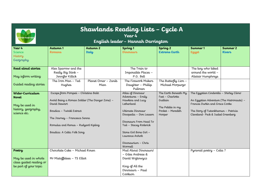| Shawlands Reading Lists - Cycle A<br>Year 4<br><b>TTER TOGETHE</b><br>English leader - Hannah Darrington |                                                                  |                     |                                |                        |                                                                             |               |  |
|----------------------------------------------------------------------------------------------------------|------------------------------------------------------------------|---------------------|--------------------------------|------------------------|-----------------------------------------------------------------------------|---------------|--|
| Year 4                                                                                                   | Autumn 1                                                         | Autumn <sub>2</sub> | Spring <sub>1</sub>            | Spring <sub>2</sub>    | Summer 1                                                                    | Summer 2      |  |
| Science                                                                                                  | <b>Romans</b>                                                    | Italy               | <b>Dinosaurs</b>               | <b>Extreme Earth</b>   | <b>Egypt</b>                                                                | <b>Rivers</b> |  |
| History<br>Geography                                                                                     |                                                                  |                     |                                |                        |                                                                             |               |  |
| Read aloud stories                                                                                       | Alex Sparrow and the                                             |                     | The Train to                   |                        | The boy who biked                                                           |               |  |
|                                                                                                          | Really Big Stink -                                               |                     | Impossible Places -            |                        | around the world -                                                          |               |  |
| May inform writing                                                                                       | Jennifer Killick                                                 |                     | P.G. Bell                      |                        | Alistair Humphreys                                                          |               |  |
|                                                                                                          | The Iron Man - Ted                                               | Planet Omar - Zanib | The Firework Makers            | The Butterfly Lion $-$ |                                                                             |               |  |
| Guided reading stories                                                                                   | Hughes                                                           | Mian                | Daughter - Phillip<br>Pullman  | Michael Morpurgo       |                                                                             |               |  |
| Wider-Curriculum                                                                                         | Escape from Pompeii - Christina Balit                            |                     | Atlas of Dinosaur              | The Earth Beneath My   | The Egyptian Cinderella - Shirley Climo                                     |               |  |
| Novel                                                                                                    |                                                                  |                     | Adventures - Emily             | Feet - Charlotte       |                                                                             |               |  |
|                                                                                                          | Avoid Being a Roman Soldier (The Danger Zone) -<br>David Stewart |                     | Hawkins and Lucy<br>Letherland | Guillain               | An Egyptian Adventure (The Histronauts) -<br>Frances Durkin and Grace Cooke |               |  |
| May be used in<br>history, geography,                                                                    |                                                                  |                     |                                | The Pebble in my       |                                                                             |               |  |
| science etc.                                                                                             | Boudica - Twinkl Extract                                         |                     | Ultimate Dinosaur              | Pocket - Meredith      | The Story of Tutankhamun - Patricia                                         |               |  |
|                                                                                                          | The Journey - Francesca Senna                                    |                     | Dinopedia - Don Lessem         | Hooper                 | Cleveland- Peck & Isabel Greenberg                                          |               |  |
|                                                                                                          |                                                                  |                     | Dinosaurs From Head To         |                        |                                                                             |               |  |
|                                                                                                          | Romulus and Remus - Rudyard Kipling                              |                     | Tail - Stacey Roderick         |                        |                                                                             |               |  |
|                                                                                                          | Boudica: A Celtic Folk Song                                      |                     | Stone Girl Bone Girl -         |                        |                                                                             |               |  |
|                                                                                                          |                                                                  |                     | Laurence Anholt                |                        |                                                                             |               |  |
|                                                                                                          |                                                                  |                     | $Dinosaurium - Chris$          |                        |                                                                             |               |  |
|                                                                                                          |                                                                  |                     | Wormell                        |                        |                                                                             |               |  |
| Poetry                                                                                                   | Chocolate Cake - Michael Rosen                                   |                     | Mad About Dinosaurs!           |                        | Pyramid poetry - Celia?                                                     |               |  |
|                                                                                                          |                                                                  |                     | – Giles Andreae &              |                        |                                                                             |               |  |
| May be used in whole<br>class guided reading or                                                          | Mr Mistoffelees - TS Elliot                                      |                     | David Wojtowycz                |                        |                                                                             |               |  |
| be part of your topic                                                                                    |                                                                  |                     | King of All the                |                        |                                                                             |               |  |
|                                                                                                          |                                                                  |                     | Dinosaurs - Paul               |                        |                                                                             |               |  |
|                                                                                                          |                                                                  |                     | Cookson                        |                        |                                                                             |               |  |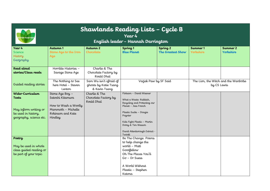| Shawlands Reading Lists - Cycle B<br>Year 4<br><b>ETTER TOGETHE</b><br>English leader - Hannah Darrington |                                                                                                                   |                                                                  |                                                                                                                                                                                                                                               |                                                 |                                                     |                       |
|-----------------------------------------------------------------------------------------------------------|-------------------------------------------------------------------------------------------------------------------|------------------------------------------------------------------|-----------------------------------------------------------------------------------------------------------------------------------------------------------------------------------------------------------------------------------------------|-------------------------------------------------|-----------------------------------------------------|-----------------------|
| Year 4<br>Science<br>History<br>Geography                                                                 | Autumn 1<br>Stone Age to the Iron<br>Age                                                                          | Autumn 2<br>Chocolate                                            | Spring <sub>1</sub><br><b>Blue Planet</b>                                                                                                                                                                                                     | Spring <sub>2</sub><br><b>The Greatest Show</b> | Summer 1<br>Yorkshire                               | Summer 2<br>Yorkshire |
| Read aloud<br>stories/Class reads                                                                         | Horrible Histories -<br>Savage Stone Age                                                                          | Charlie & The<br>Chocolate Factory by<br>Roald Dhal              |                                                                                                                                                                                                                                               |                                                 |                                                     |                       |
| Guided reading stories                                                                                    | The Nothing to See<br>here Hotel - Steven<br>Lenton                                                               | Sam Wu isn't afraid of<br>ghosts by Katie Tsang<br>& Kevin Tsang | Varjak Paw by SF Said                                                                                                                                                                                                                         |                                                 | The Lion, the Witch and the Wardrobe<br>by CS Lewis |                       |
| Wider-Curriculum<br>Texts<br>May inform writing or<br>be used in history,<br>geography, science etc.      | Stone Age Boy -<br>Satoshi Kitamura<br>How to Wash a Woolly<br>Mammoth - Michelle<br>Robinson and Kate<br>Hindley | Charlie & The<br>Chocolate Factory by<br>Roald Dhal              | Flotsam - David Wiesner<br>What a Waste: Rubbish,<br>Recycling and Protecting our<br>Planet - Jess French<br>Plastic Sucks - Dougie<br>Poynter<br>Kids Fight Plastic - Martin<br>Dorey & Tim Wesson<br>David Attenborough Extract -<br>Twinkl |                                                 |                                                     |                       |
| Poetry<br>May be used in whole<br>class guided reading or<br>be part of your topic                        |                                                                                                                   |                                                                  | Be The Change: Poems<br>to help change the<br>world - Matt<br>Goodfellow<br>Oh The Places You'll<br>$G\sigma$ – Dr Suess<br>A World Without<br>Plastic - Stephen<br>Katona                                                                    |                                                 |                                                     |                       |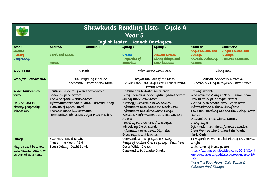| Shawlands Reading Lists - Cycle A                                                  |                                                                                                                                                                                                                                                              |                                                              |                                                                                                                                                                                                                                                                                                                                                              |                                                                                     |                                                                                                                                                                                                                                                                                       |                                                                                            |  |  |  |  |  |
|------------------------------------------------------------------------------------|--------------------------------------------------------------------------------------------------------------------------------------------------------------------------------------------------------------------------------------------------------------|--------------------------------------------------------------|--------------------------------------------------------------------------------------------------------------------------------------------------------------------------------------------------------------------------------------------------------------------------------------------------------------------------------------------------------------|-------------------------------------------------------------------------------------|---------------------------------------------------------------------------------------------------------------------------------------------------------------------------------------------------------------------------------------------------------------------------------------|--------------------------------------------------------------------------------------------|--|--|--|--|--|
|                                                                                    | Year 5                                                                                                                                                                                                                                                       |                                                              |                                                                                                                                                                                                                                                                                                                                                              |                                                                                     |                                                                                                                                                                                                                                                                                       |                                                                                            |  |  |  |  |  |
| English leader - Hannah Darrington                                                 |                                                                                                                                                                                                                                                              |                                                              |                                                                                                                                                                                                                                                                                                                                                              |                                                                                     |                                                                                                                                                                                                                                                                                       |                                                                                            |  |  |  |  |  |
| Year 5<br>Science<br>History<br>Geography                                          | Autumn 1<br><b>Earth and Space</b><br><b>Forces</b>                                                                                                                                                                                                          | Autumn <sub>2</sub>                                          | Spring <sub>1</sub><br>Greece<br>Properties of<br>materials                                                                                                                                                                                                                                                                                                  | Spring <sub>2</sub><br><b>Ancient Greeks</b><br>Living things and<br>their habitats | Summer 1<br>Anglo Saxons and<br><b>Vikings</b><br>Animals including<br>humans                                                                                                                                                                                                         | Summer 2<br>Anglo Saxons and<br><b>Vikings</b><br><b>Famous scientists</b>                 |  |  |  |  |  |
| <b>WCGR Text</b>                                                                   | Cosmic                                                                                                                                                                                                                                                       |                                                              |                                                                                                                                                                                                                                                                                                                                                              | Who Let the God's Out?                                                              |                                                                                                                                                                                                                                                                                       | Viking Boy                                                                                 |  |  |  |  |  |
| Read for Pleasure text                                                             |                                                                                                                                                                                                                                                              | The Everything Machine<br>Unbearable! Bizarre Short Stories. | Boy at the Back of the Class<br>Quick! Let's Get Out of Here! Michael Rosen<br>Poetry book.                                                                                                                                                                                                                                                                  |                                                                                     | Anisha, Accidental Detective<br>There's a Viking in my Bed! Short Stories.                                                                                                                                                                                                            |                                                                                            |  |  |  |  |  |
| Wider-Curriculum<br>texts<br>May be used in<br>history, geography,<br>science etc. | Sputniks Guide to Life on Earth extract<br>Cakes in Space extract<br>The War of the Worlds extract<br>Information text about Laika - astronaut dog<br>Timeline of Space Travel<br>Speeches made by Astronauts<br>News articles about the Virgin Mars Mission |                                                              | Information text about Dementia<br>Percy Jackson and the lightning thief extract<br>Simply the Quest extract<br>Astrology websites / news articles<br>Information texts about the Greek Gods<br>Information text about Stone Henge<br>Websites / information text about Greece /<br>Athens<br>Travel agent brochures / webpages<br>advertising Greek islands |                                                                                     | Beowolf extract<br>How to train your dragon extract<br>Vikings in 30 second Non-Fiction book.<br>Information text about Lindisfarne<br>extinct<br>Odd and the Frost Giants extract<br>Viking sagas<br>Information text about famous scientists<br>Great Women who Changed the World - | Who were the Vikings? Non - Fiction book.<br>The Time Travelling Cat and the Viking Terror |  |  |  |  |  |
| Poetry                                                                             | Star Man David Bowie                                                                                                                                                                                                                                         |                                                              | Information texts about Olympics<br>Greek myths and legends<br>Ozymandias - Percy Bysshe Shelley                                                                                                                                                                                                                                                             |                                                                                     | Marie Curie                                                                                                                                                                                                                                                                           | To Asgard! Poem - Rachel Piercey and Emma                                                  |  |  |  |  |  |
| May be used in whole<br>class guided reading or<br>be part of your topic           | Man on the Moon-REM<br>Space Oddity-David Bowie                                                                                                                                                                                                              |                                                              | Oscar Wilde- Greece<br>Constantine P. Cavaly-Ithaka                                                                                                                                                                                                                                                                                                          | Range of Ancient Greek's poetry- Paul Perro                                         | Wright<br>Wide range of Norse poetry-<br>$h$ <i>p</i><br>Marie The First Poem- Celia Berrell &<br>Sukarma Rani Thareja                                                                                                                                                                | https://adrianspendlowblog.com/2018/02/11<br>Inorse-gods-and-goddesses-prose-poems-25-     |  |  |  |  |  |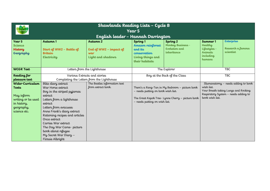| Shawlands Reading Lists - Cycle B                       |                                                                         |                                                                |                                                                                                 |                                                               |                                                                                                                                                      |                                              |  |  |
|---------------------------------------------------------|-------------------------------------------------------------------------|----------------------------------------------------------------|-------------------------------------------------------------------------------------------------|---------------------------------------------------------------|------------------------------------------------------------------------------------------------------------------------------------------------------|----------------------------------------------|--|--|
| <b>ETTER TOGETHER</b>                                   |                                                                         |                                                                | Year 5                                                                                          |                                                               |                                                                                                                                                      |                                              |  |  |
| English leader - Hannah Darrington                      |                                                                         |                                                                |                                                                                                 |                                                               |                                                                                                                                                      |                                              |  |  |
| Year 5<br><b>Science</b><br><b>History</b><br>Geography | Autumn 1<br>Start of WW2 - Battle of<br><b>Britain</b><br>Electricity   | Autumn 2<br>End of WW2 - impact of<br>war<br>Light and shadows | Spring 1<br>Amazon rainforest<br>and its<br>conservation<br>Living things and<br>their habitats | Spring 2<br>Monkey Business -<br>Evolution and<br>inheritance | Summer 1<br>Healthy<br>Lifestyles -<br>Animals<br>including<br>humans                                                                                | Enterprise<br>Research a famous<br>scientist |  |  |
| <b>WCGR Text</b>                                        | Letters from the Lighthouse                                             |                                                                | The Explorer                                                                                    |                                                               | <b>TBC</b>                                                                                                                                           |                                              |  |  |
| Reading for                                             | Various Extracts and stories                                            |                                                                | Boy at the Back of the Class                                                                    |                                                               | <b>TBC</b>                                                                                                                                           |                                              |  |  |
| pleasure text                                           |                                                                         | Completing the Letters from the Lighthouse                     |                                                                                                 |                                                               |                                                                                                                                                      |                                              |  |  |
| Wider-Curriculum<br>Texts                               | Blitz diary extract<br>War Horse extract                                | The Beatles information text<br>from extract book.             |                                                                                                 | There's a Rang-Tan in My Bedroom - picture book               | Illumanatomy - needs adding to book<br>wish list.<br>Your Breath taking Lungs and Rocking<br>Respiratory System - needs adding to<br>book wish list. |                                              |  |  |
| May inform<br>writing or be used                        | Boy in the striped pyjamas<br>extract<br>Letters from a lighthouse      |                                                                | - needs putting on book wish list.                                                              | The Great Kapok Tree-Lynne Cherry - picture book              |                                                                                                                                                      |                                              |  |  |
| in history,<br>geography,                               | extract<br>Letters from evacuees                                        |                                                                | - needs putting on wish list.                                                                   |                                                               |                                                                                                                                                      |                                              |  |  |
| science etc.                                            | Anne Frank's diary extract<br>Rationing recipes and articles            |                                                                |                                                                                                 |                                                               |                                                                                                                                                      |                                              |  |  |
|                                                         | Once extract<br>Carries War extract                                     |                                                                |                                                                                                 |                                                               |                                                                                                                                                      |                                              |  |  |
|                                                         | The Day War Came-picture<br>book about refugee<br>My Secret War Diary - |                                                                |                                                                                                 |                                                               |                                                                                                                                                      |                                              |  |  |
|                                                         | Flossie Albright                                                        |                                                                |                                                                                                 |                                                               |                                                                                                                                                      |                                              |  |  |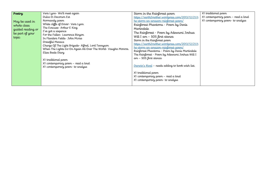| Poetry                                        | Vera Lynn-We'll meet again                                                                                                                                                                                                                                                                                                                              | Storm in the Rainforest poem                                                                                                                                                                                                                                                                                                                                                                                                                                                        | X1 traditional poem                                                    |
|-----------------------------------------------|---------------------------------------------------------------------------------------------------------------------------------------------------------------------------------------------------------------------------------------------------------------------------------------------------------------------------------------------------------|-------------------------------------------------------------------------------------------------------------------------------------------------------------------------------------------------------------------------------------------------------------------------------------------------------------------------------------------------------------------------------------------------------------------------------------------------------------------------------------|------------------------------------------------------------------------|
| May be used in<br>whole class                 | Dulce Et Decorum Est<br>Normandy poem<br>White cliffs of Dover- Vera Lynn<br>The Evacuee Arthur E King                                                                                                                                                                                                                                                  | https://earth2mother.wordpress.com/2013/12/21/t<br>he-storm-an-amazon-rainforest-poem/<br>Rainforest Phantoms - Poem by Denis<br>Martindale                                                                                                                                                                                                                                                                                                                                         | X1 contemporary poem – read a loud<br>X1 contemporary poem- to analyse |
| guided reading or<br>be part of your<br>topic | I've got a sixpence<br>For the Fallen-Lawrence Binyon<br>In Flanders Fields- John Mcrae<br>Dreadful Menace<br>Charge Of The Light Brigade-Alfred, Lord Tennyson<br>When The Lights Go On Again All Over The World- Vaughn Monroe.<br>Eliza Beale Diary<br>X1 traditional poem<br>X1 contemporary poem – read a loud<br>X1 contemporary poem- to analyse | The Rainforest - Poem by Adewumi Joshua<br>Will I am - SOS first stanza<br>Storm in the Rainforest poem<br>https://earth2mother.wordpress.com/2013/12/21/t<br>he-storm-an-amazon-rainforest-poem/<br>Rainforest Phantoms - Poem by Denis Martindale<br>The Rainforest - Poem by Adewumi Joshua Will I<br>am – SOS first stanza<br>Darwin's Rival - needs adding to book wish list.<br>X1 traditional poem<br>X1 contemporary poem - read a loud<br>X1 contemporary poem- to analyse |                                                                        |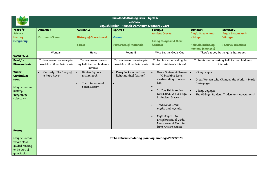|                                  | Shawlands Reading Lists - Cycle A       |                                |                                                      |                                                   |                                    |                                                 |  |  |
|----------------------------------|-----------------------------------------|--------------------------------|------------------------------------------------------|---------------------------------------------------|------------------------------------|-------------------------------------------------|--|--|
| <b>TER TOGETHER</b>              |                                         |                                | Year $5/6$                                           |                                                   |                                    |                                                 |  |  |
|                                  |                                         |                                | English leader - Hannah Darrington (January 2020)    |                                                   |                                    |                                                 |  |  |
| Year $5/6$                       | Autumn 1                                | Autumn 2                       | Spring 1                                             | Spring <sub>2</sub>                               | Summer 1                           | Summer 2                                        |  |  |
| <b>Science</b><br><b>History</b> | <b>Earth and Space</b>                  | History of Space travel        | <b>Greece</b>                                        | <b>Ancient Greeks</b>                             | Anglo Saxons and<br><b>Vikings</b> | Anglo Saxons and<br><b>Vikings</b>              |  |  |
| Geography                        |                                         |                                |                                                      | Living things and their                           |                                    |                                                 |  |  |
|                                  |                                         | <b>Forces</b>                  | Properties of materials                              | habitats                                          | Animals including                  | <b>Famous scientists</b>                        |  |  |
|                                  |                                         |                                |                                                      |                                                   | humans (changes)                   |                                                 |  |  |
|                                  | Wonder                                  | Holes                          | Room 13                                              | Who Let the God's Out                             |                                    | There's a boy in the girl's bathroom            |  |  |
| <b>WCGR Text</b>                 |                                         |                                |                                                      |                                                   |                                    |                                                 |  |  |
| Read for                         | To be chosen in next cycle              | To be chosen in next           | To be chosen in next cycle                           | To be chosen in next cycle                        |                                    | To be chosen in next cycle linked to children's |  |  |
| Pleasure text                    | linked to children's interest.          | cycle linked to children's     | linked to children's interest.                       | linked to children's interest.                    |                                    | interest.                                       |  |  |
| Wider-                           |                                         | interest.                      |                                                      | Greek Gods and Heroes                             |                                    |                                                 |  |  |
| Curriculum                       | Curiosity: The Story of<br>a Mars Rover | Hidden Figures<br>picture book | Percy Jackson and the<br>lightning thief (extract)   | - 40 inspiring icons -                            | Viking sagas.                      |                                                 |  |  |
| texts                            |                                         |                                |                                                      | needs adding to wish                              |                                    | Great Women who Changed the World - Marie       |  |  |
|                                  |                                         | The International              |                                                      | list.                                             | Curie page.                        |                                                 |  |  |
| May be used in                   |                                         | Space Station                  |                                                      |                                                   |                                    |                                                 |  |  |
| history,                         |                                         |                                |                                                      | So You Think You've<br>$\bullet$                  | Viking Voyages<br>$\bullet$        |                                                 |  |  |
| geography,                       |                                         |                                |                                                      | Got it Bad? A Kid's Life<br>in Ancient Greece. t. |                                    | The Vikings: Raiders, Traders and Adventurers!  |  |  |
| science etc.                     |                                         |                                |                                                      |                                                   |                                    |                                                 |  |  |
|                                  |                                         |                                |                                                      | <b>Traditional Greek</b><br>$\bullet$             |                                    |                                                 |  |  |
|                                  |                                         |                                |                                                      | myths and legends.                                |                                    |                                                 |  |  |
|                                  |                                         |                                |                                                      |                                                   |                                    |                                                 |  |  |
|                                  |                                         |                                |                                                      | Mythologica: An<br>$\bullet$                      |                                    |                                                 |  |  |
|                                  |                                         |                                |                                                      | Encyclopedia of Gods,<br>Monsters and Mortals     |                                    |                                                 |  |  |
|                                  |                                         |                                |                                                      | from Ancient Greece                               |                                    |                                                 |  |  |
| Poetry                           |                                         |                                |                                                      |                                                   |                                    |                                                 |  |  |
|                                  |                                         |                                |                                                      |                                                   |                                    |                                                 |  |  |
| May be used in                   |                                         |                                | To be determined during planning meetings 2022/2023. |                                                   |                                    |                                                 |  |  |
| whole class                      |                                         |                                |                                                      |                                                   |                                    |                                                 |  |  |
| guided reading                   |                                         |                                |                                                      |                                                   |                                    |                                                 |  |  |
| or be part of<br>your topic      |                                         |                                |                                                      |                                                   |                                    |                                                 |  |  |
|                                  |                                         |                                |                                                      |                                                   |                                    |                                                 |  |  |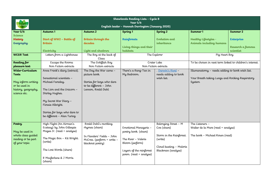| Shawlands Reading Lists - Cycle B<br>Year $5/6$<br><b>TER TOGETHI</b><br>English leader - Hannah Darrington (January 2020) |                                                        |                                              |                          |                                     |                                                          |                   |  |  |
|----------------------------------------------------------------------------------------------------------------------------|--------------------------------------------------------|----------------------------------------------|--------------------------|-------------------------------------|----------------------------------------------------------|-------------------|--|--|
|                                                                                                                            |                                                        |                                              |                          |                                     |                                                          |                   |  |  |
| Year $5/6$                                                                                                                 | Autumn 1                                               | Autumn <sub>2</sub>                          | Spring 1                 | Spring 2                            | Summer 1                                                 | Summer 2          |  |  |
| <b>Science</b>                                                                                                             |                                                        |                                              |                          | Evolution and                       |                                                          |                   |  |  |
| <b>History</b><br>Geography                                                                                                | Start of WW2 - Battle of<br><b>Britain</b>             | Britain through the<br>decades               | Rainforests              | inheritance                         | Healthy Lifestyles -<br>Animals including humans         | Enterprise        |  |  |
|                                                                                                                            |                                                        |                                              | Living things and their  |                                     |                                                          | Research a famous |  |  |
|                                                                                                                            | Electricity                                            | Light and shadows                            | habitats                 |                                     |                                                          | scientist         |  |  |
| <b>WCGR Text</b>                                                                                                           | Letters from a Lighthouse                              | The Boy at the back of                       |                          | The Explorer                        | Pig Heart Boy                                            |                   |  |  |
|                                                                                                                            |                                                        | Class                                        |                          |                                     |                                                          |                   |  |  |
| Reading for                                                                                                                | Escape the Rooms                                       | The Goldfish Boy                             |                          | Crater Lake                         | To be chosen in next term linked to children's interest. |                   |  |  |
| pleasure text                                                                                                              | Non Fiction extracts                                   | Non Fiction extracts                         |                          | Non Fiction extracts                |                                                          |                   |  |  |
| Wider-Curriculum                                                                                                           | Anne Frank's diary (extract).                          | The Day the War came -                       | There's a Rang-Tan in    | . Darwin's Rival -                  | Illumanatomy - needs adding to book wish list.           |                   |  |  |
| <b>Texts</b>                                                                                                               |                                                        | picture book.                                | My Bedroom.              | needs adding to book                | Your Breath taking Lungs and Rocking Respiratory         |                   |  |  |
|                                                                                                                            | Sensational scientists -                               |                                              |                          | wish list.                          |                                                          |                   |  |  |
| May inform writing                                                                                                         | Michael Faraday.                                       | Stories for boys who dare                    |                          |                                     | System                                                   |                   |  |  |
| or be used in                                                                                                              | The Lion and the Unicorn -                             | to be different - John<br>Lennon, Roald Dahl |                          |                                     |                                                          |                   |  |  |
| history, geography,<br>science etc.                                                                                        | Shirley Hughes.                                        |                                              |                          |                                     |                                                          |                   |  |  |
|                                                                                                                            |                                                        |                                              |                          |                                     |                                                          |                   |  |  |
|                                                                                                                            | My Secret War Diary -                                  |                                              |                          |                                     |                                                          |                   |  |  |
|                                                                                                                            | Flossie Albright.                                      |                                              |                          |                                     |                                                          |                   |  |  |
|                                                                                                                            |                                                        |                                              |                          |                                     |                                                          |                   |  |  |
|                                                                                                                            | Stories for boys who dare to                           |                                              |                          |                                     |                                                          |                   |  |  |
|                                                                                                                            | be different - Alan Turing                             |                                              |                          |                                     |                                                          |                   |  |  |
|                                                                                                                            |                                                        |                                              |                          |                                     |                                                          |                   |  |  |
| Poetry                                                                                                                     | High Flight (An Airman's<br>Ecstasy) by John Gillespie | Roald Dahl's revolting<br>rhymes (share)     | Emotional Menagerie -    | Belonging Street - M<br>Coe (share) | The Listeners -<br>Walter de la Mare (read + analyse)    |                   |  |  |
| May be used in                                                                                                             | Magee Jr. (read + analyse)                             |                                              | poetry book. (share)     |                                     |                                                          |                   |  |  |
| whole class guided                                                                                                         |                                                        | In Flanders' Fields - John                   |                          | Storm in the Rainforest.            | The book - Michael Rosen (read)                          |                   |  |  |
| reading or be part                                                                                                         | The Magic Box - Kit Wright.                            | McCrea. (perform + write -                   | The River - Valerie      | (write)                             |                                                          |                   |  |  |
| of your topic                                                                                                              | (write)                                                | blackout poetry)                             | Bloom (perform)          |                                     |                                                          |                   |  |  |
|                                                                                                                            |                                                        |                                              |                          | Cloud busting - Malorie             |                                                          |                   |  |  |
|                                                                                                                            | The Lost Words (share)                                 |                                              | Layers of the rainforest | Blackman (analyse)                  |                                                          |                   |  |  |
|                                                                                                                            |                                                        |                                              | poem. (read + analyse)   |                                     |                                                          |                   |  |  |
|                                                                                                                            | R Macfarlane & J Morris<br>(share)                     |                                              |                          |                                     |                                                          |                   |  |  |
|                                                                                                                            |                                                        |                                              |                          |                                     |                                                          |                   |  |  |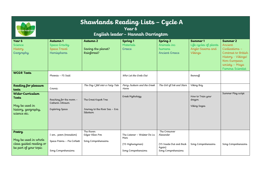| Shawlands Reading Lists - Cycle A<br>Year 6<br><b>TTER TOGETHE</b><br>English leader - Hannah Darrington |                                                                            |                                                                    |                                                                                |                                                                                        |                                                                  |                                                                                                                                                  |
|----------------------------------------------------------------------------------------------------------|----------------------------------------------------------------------------|--------------------------------------------------------------------|--------------------------------------------------------------------------------|----------------------------------------------------------------------------------------|------------------------------------------------------------------|--------------------------------------------------------------------------------------------------------------------------------------------------|
| Year 6<br><b>Science</b><br>History<br>Geography                                                         | Autumn 1<br>Space Gravity<br>Space Travel<br>Hemispheres                   | Autumn 2<br>Saving the planet?<br>Rainforest?                      | Spring <sub>1</sub><br>Materials<br>Greece                                     | Spring <sub>2</sub><br>Animals inc<br>humans<br><b>Ancient Greece</b>                  | Summer 1<br>Life cycles of plants<br>Anglo-Saxons and<br>Vikings | Summer 2<br>Ancient<br>Civilizations -<br>Contrast to British<br>History - Vikings!<br>Non-European<br>society - Maya<br><b>Famous Scientist</b> |
| <b>WCGR Texts</b>                                                                                        | Phoenix - FS Said                                                          |                                                                    | Who Let the Gods Out                                                           |                                                                                        | Beowulf                                                          |                                                                                                                                                  |
| Reading for pleasure<br>texts                                                                            | Cosmic                                                                     | The Day I fell into a Fairy Tale                                   | Percy Jackson and the Greek<br>Heros                                           | The Girl of Ink and Stars                                                              | Viking Boy                                                       |                                                                                                                                                  |
| Wider-Curriculum<br>Texts<br>May be used in<br>history, geography,<br>science etc.                       | Reaching for the moon -<br>Catherin Johnson<br><b>Exploring Space</b>      | The Great Kapok Tree<br>Journey to the River Sea - Eva<br>Ibbotson | Greek Mythology                                                                |                                                                                        | How to Train your<br>dragon<br>Viking Sagas                      | Summer Play script                                                                                                                               |
| Poetry<br>May be used in whole<br>class guided reading or<br>be part of your topic                       | I am poem (transition)<br>Space Poems - Pie Corbett<br>Song Comprehensions | The Raven<br>Edgar Allan Poe<br>Song Comprehensions                | The Listener - Waleter De La<br>Mere<br>(Y5 Highwayman)<br>Song Comprehensions | The Crossover<br>Alexander<br>(Y5 Inside Out and Back<br>Again)<br>Song Comprehensions | Song Comprehensions                                              | Song Comprehensions                                                                                                                              |